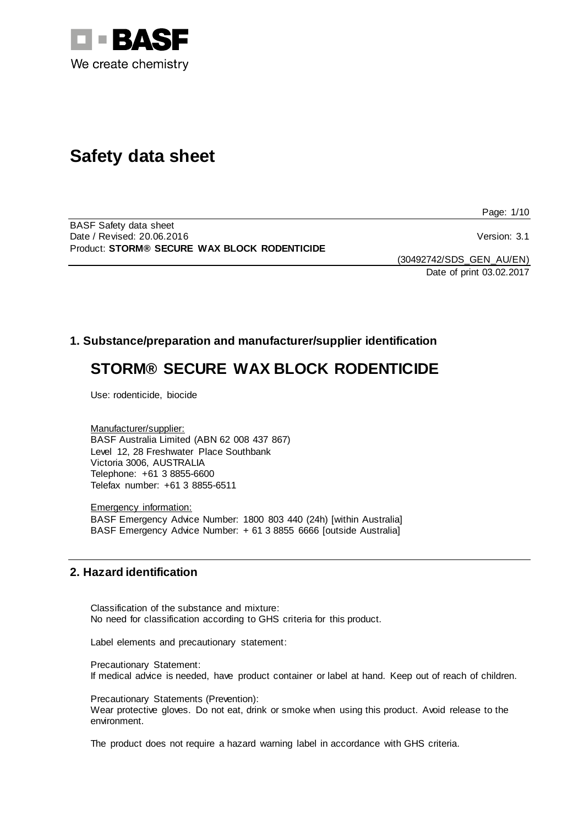

# **Safety data sheet**

Page: 1/10

BASF Safety data sheet Date / Revised: 20.06.2016 **Version: 3.1** Product: **STORM® SECURE WAX BLOCK RODENTICIDE**

(30492742/SDS\_GEN\_AU/EN) Date of print 03.02.2017

# **1. Substance/preparation and manufacturer/supplier identification**

# **STORM® SECURE WAX BLOCK RODENTICIDE**

Use: rodenticide, biocide

Manufacturer/supplier: BASF Australia Limited (ABN 62 008 437 867) Level 12, 28 Freshwater Place Southbank Victoria 3006, AUSTRALIA Telephone: +61 3 8855-6600 Telefax number: +61 3 8855-6511

Emergency information: BASF Emergency Advice Number: 1800 803 440 (24h) [within Australia] BASF Emergency Advice Number: + 61 3 8855 6666 [outside Australia]

# **2. Hazard identification**

Classification of the substance and mixture: No need for classification according to GHS criteria for this product.

Label elements and precautionary statement:

Precautionary Statement: If medical advice is needed, have product container or label at hand. Keep out of reach of children.

Precautionary Statements (Prevention):

Wear protective gloves. Do not eat, drink or smoke when using this product. Avoid release to the environment.

The product does not require a hazard warning label in accordance with GHS criteria.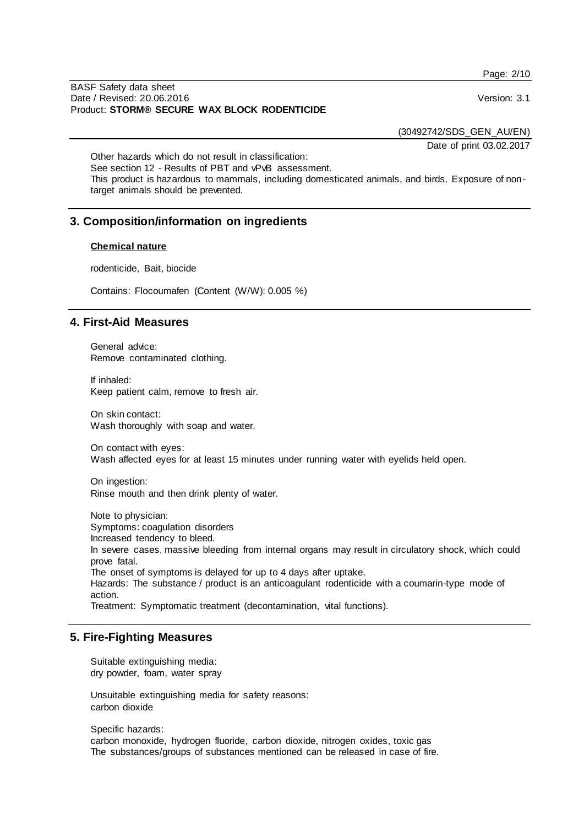BASF Safety data sheet Date / Revised: 20.06.2016 Version: 3.1 Product: **STORM® SECURE WAX BLOCK RODENTICIDE**

(30492742/SDS\_GEN\_AU/EN)

Date of print 03.02.2017

Other hazards which do not result in classification: See section 12 - Results of PBT and vPvB assessment. This product is hazardous to mammals, including domesticated animals, and birds. Exposure of nontarget animals should be prevented.

# **3. Composition/information on ingredients**

#### **Chemical nature**

rodenticide, Bait, biocide

Contains: Flocoumafen (Content (W/W): 0.005 %)

## **4. First-Aid Measures**

General advice: Remove contaminated clothing.

If inhaled: Keep patient calm, remove to fresh air.

On skin contact: Wash thoroughly with soap and water.

On contact with eyes: Wash affected eyes for at least 15 minutes under running water with eyelids held open.

On ingestion: Rinse mouth and then drink plenty of water.

Note to physician: Symptoms: coagulation disorders Increased tendency to bleed. In severe cases, massive bleeding from internal organs may result in circulatory shock, which could prove fatal. The onset of symptoms is delayed for up to 4 days after uptake. Hazards: The substance / product is an anticoagulant rodenticide with a coumarin-type mode of action.

Treatment: Symptomatic treatment (decontamination, vital functions).

## **5. Fire-Fighting Measures**

Suitable extinguishing media: dry powder, foam, water spray

Unsuitable extinguishing media for safety reasons: carbon dioxide

Specific hazards:

carbon monoxide, hydrogen fluoride, carbon dioxide, nitrogen oxides, toxic gas The substances/groups of substances mentioned can be released in case of fire. Page: 2/10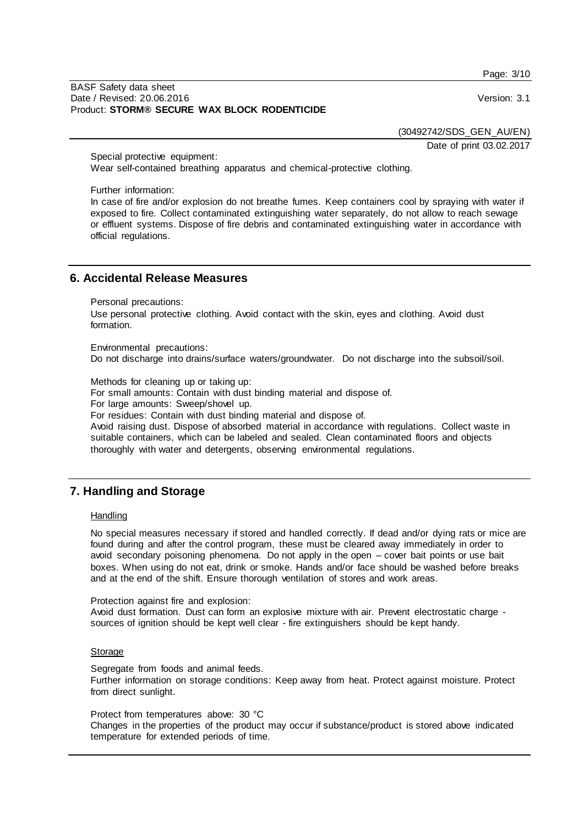Page: 3/10

#### BASF Safety data sheet Date / Revised: 20.06.2016 Version: 3.1 Product: **STORM® SECURE WAX BLOCK RODENTICIDE**

(30492742/SDS\_GEN\_AU/EN)

Date of print 03.02.2017

Special protective equipment: Wear self-contained breathing apparatus and chemical-protective clothing.

Further information:

In case of fire and/or explosion do not breathe fumes. Keep containers cool by spraying with water if exposed to fire. Collect contaminated extinguishing water separately, do not allow to reach sewage or effluent systems. Dispose of fire debris and contaminated extinguishing water in accordance with official regulations.

# **6. Accidental Release Measures**

Personal precautions:

Use personal protective clothing. Avoid contact with the skin, eyes and clothing. Avoid dust formation.

Environmental precautions:

Do not discharge into drains/surface waters/groundwater. Do not discharge into the subsoil/soil.

Methods for cleaning up or taking up:

For small amounts: Contain with dust binding material and dispose of.

For large amounts: Sweep/shovel up.

For residues: Contain with dust binding material and dispose of.

Avoid raising dust. Dispose of absorbed material in accordance with regulations. Collect waste in suitable containers, which can be labeled and sealed. Clean contaminated floors and objects thoroughly with water and detergents, observing environmental regulations.

# **7. Handling and Storage**

#### **Handling**

No special measures necessary if stored and handled correctly. If dead and/or dying rats or mice are found during and after the control program, these must be cleared away immediately in order to avoid secondary poisoning phenomena. Do not apply in the open – cover bait points or use bait boxes. When using do not eat, drink or smoke. Hands and/or face should be washed before breaks and at the end of the shift. Ensure thorough ventilation of stores and work areas.

Protection against fire and explosion:

Avoid dust formation. Dust can form an explosive mixture with air. Prevent electrostatic charge sources of ignition should be kept well clear - fire extinguishers should be kept handy.

#### **Storage**

Segregate from foods and animal feeds. Further information on storage conditions: Keep away from heat. Protect against moisture. Protect from direct sunlight.

Protect from temperatures above: 30 °C Changes in the properties of the product may occur if substance/product is stored above indicated temperature for extended periods of time.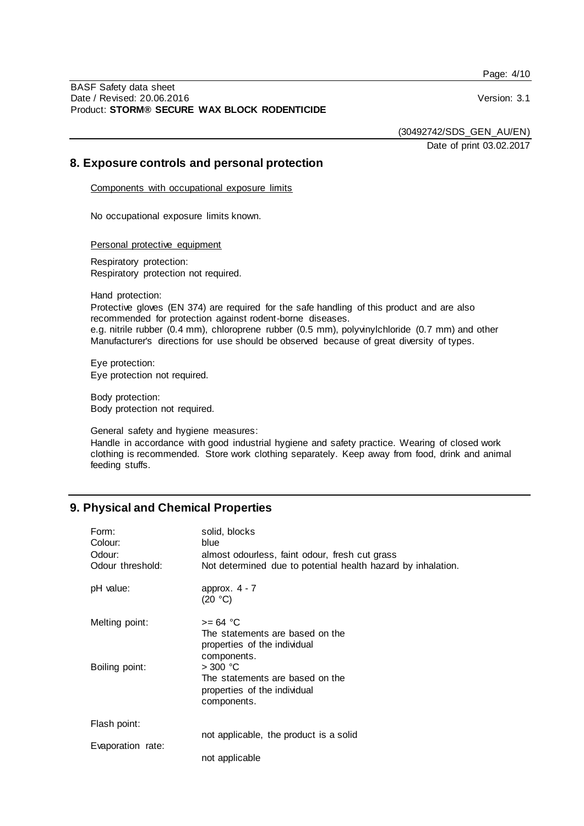Page: 4/10

BASF Safety data sheet Date / Revised: 20.06.2016 Version: 3.1 Product: **STORM® SECURE WAX BLOCK RODENTICIDE**

(30492742/SDS\_GEN\_AU/EN)

Date of print 03.02.2017

## **8. Exposure controls and personal protection**

Components with occupational exposure limits

No occupational exposure limits known.

Personal protective equipment

Respiratory protection: Respiratory protection not required.

Hand protection:

Protective gloves (EN 374) are required for the safe handling of this product and are also recommended for protection against rodent-borne diseases. e.g. nitrile rubber (0.4 mm), chloroprene rubber (0.5 mm), polyvinylchloride (0.7 mm) and other Manufacturer's directions for use should be observed because of great diversity of types.

Eye protection: Eye protection not required.

Body protection: Body protection not required.

General safety and hygiene measures:

Handle in accordance with good industrial hygiene and safety practice. Wearing of closed work clothing is recommended. Store work clothing separately. Keep away from food, drink and animal feeding stuffs.

# **9. Physical and Chemical Properties**

| Form:<br>Colour:<br>Odour:<br>Odour threshold: | solid, blocks<br>blue<br>almost odourless, faint odour, fresh cut grass<br>Not determined due to potential health hazard by inhalation. |
|------------------------------------------------|-----------------------------------------------------------------------------------------------------------------------------------------|
| pH value:                                      | approx. $4 - 7$<br>(20 °C)                                                                                                              |
| Melting point:                                 | $>= 64 °C$<br>The statements are based on the<br>properties of the individual<br>components.                                            |
| Boiling point:                                 | $>$ 300 °C<br>The statements are based on the<br>properties of the individual<br>components.                                            |
| Flash point:                                   |                                                                                                                                         |
| Evaporation rate:                              | not applicable, the product is a solid<br>not applicable                                                                                |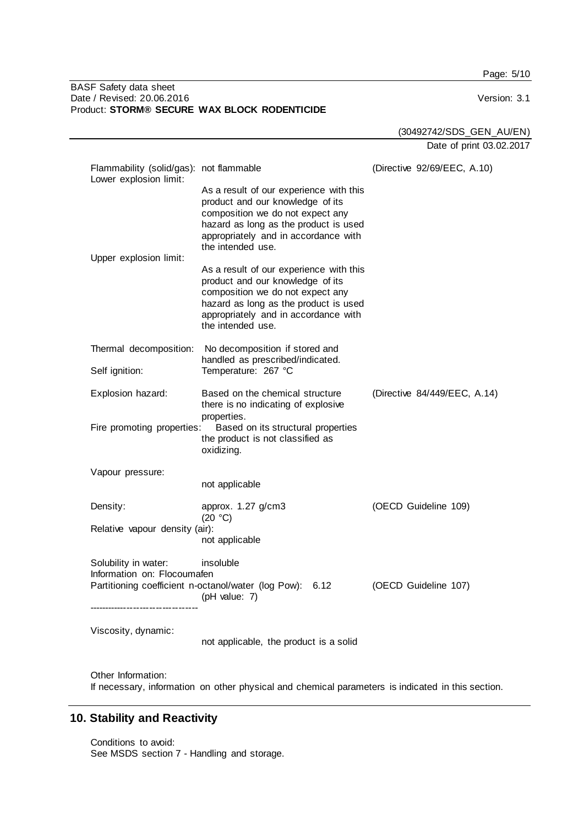Page: 5/10

#### BASF Safety data sheet Date / Revised: 20.06.2016 **Version: 3.1** Product: **STORM® SECURE WAX BLOCK RODENTICIDE**

(30492742/SDS\_GEN\_AU/EN)

Date of print 03.02.2017

| Flammability (solid/gas): not flammable<br>Lower explosion limit:                                                       |                                                                                                                                                                                                                       | (Directive 92/69/EEC, A.10)  |  |
|-------------------------------------------------------------------------------------------------------------------------|-----------------------------------------------------------------------------------------------------------------------------------------------------------------------------------------------------------------------|------------------------------|--|
| Upper explosion limit:                                                                                                  | As a result of our experience with this<br>product and our knowledge of its<br>composition we do not expect any<br>hazard as long as the product is used<br>appropriately and in accordance with<br>the intended use. |                              |  |
|                                                                                                                         | As a result of our experience with this<br>product and our knowledge of its<br>composition we do not expect any<br>hazard as long as the product is used<br>appropriately and in accordance with<br>the intended use. |                              |  |
| Thermal decomposition:                                                                                                  | No decomposition if stored and<br>handled as prescribed/indicated.<br>Temperature: 267 °C                                                                                                                             |                              |  |
| Self ignition:                                                                                                          |                                                                                                                                                                                                                       |                              |  |
| Explosion hazard:<br>Fire promoting properties:                                                                         | Based on the chemical structure<br>there is no indicating of explosive<br>properties.<br>Based on its structural properties                                                                                           | (Directive 84/449/EEC, A.14) |  |
|                                                                                                                         | the product is not classified as<br>oxidizing.                                                                                                                                                                        |                              |  |
| Vapour pressure:                                                                                                        |                                                                                                                                                                                                                       |                              |  |
|                                                                                                                         | not applicable                                                                                                                                                                                                        |                              |  |
| Density:                                                                                                                | approx. 1.27 g/cm3<br>(20 °C)                                                                                                                                                                                         | (OECD Guideline 109)         |  |
| Relative vapour density (air):                                                                                          | not applicable                                                                                                                                                                                                        |                              |  |
| Solubility in water:<br>Information on: Flocoumafen                                                                     | insoluble                                                                                                                                                                                                             |                              |  |
|                                                                                                                         | Partitioning coefficient n-octanol/water (log Pow): 6.12<br>$($ pH value: 7 $)$                                                                                                                                       | (OECD Guideline 107)         |  |
| Viscosity, dynamic:                                                                                                     | not applicable, the product is a solid                                                                                                                                                                                |                              |  |
| Other Information:<br>If necessary, information on other physical and chemical parameters is indicated in this section. |                                                                                                                                                                                                                       |                              |  |

# **10. Stability and Reactivity**

Conditions to avoid: See MSDS section 7 - Handling and storage.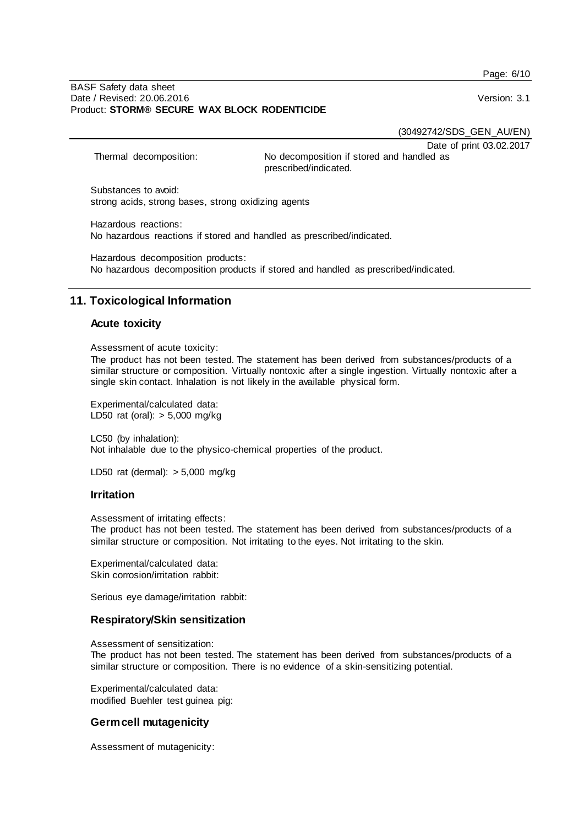Page: 6/10

#### BASF Safety data sheet Date / Revised: 20.06.2016 Version: 3.1 Product: **STORM® SECURE WAX BLOCK RODENTICIDE**

(30492742/SDS\_GEN\_AU/EN)

Date of print 03.02.2017

Thermal decomposition: No decomposition if stored and handled as prescribed/indicated.

Substances to avoid: strong acids, strong bases, strong oxidizing agents

Hazardous reactions: No hazardous reactions if stored and handled as prescribed/indicated.

Hazardous decomposition products: No hazardous decomposition products if stored and handled as prescribed/indicated.

# **11. Toxicological Information**

## **Acute toxicity**

Assessment of acute toxicity:

The product has not been tested. The statement has been derived from substances/products of a similar structure or composition. Virtually nontoxic after a single ingestion. Virtually nontoxic after a single skin contact. Inhalation is not likely in the available physical form.

Experimental/calculated data: LD50 rat (oral): > 5,000 mg/kg

LC50 (by inhalation): Not inhalable due to the physico-chemical properties of the product.

LD50 rat (dermal): > 5,000 mg/kg

## **Irritation**

Assessment of irritating effects:

The product has not been tested. The statement has been derived from substances/products of a similar structure or composition. Not irritating to the eyes. Not irritating to the skin.

Experimental/calculated data: Skin corrosion/irritation rabbit:

Serious eye damage/irritation rabbit:

## **Respiratory/Skin sensitization**

Assessment of sensitization: The product has not been tested. The statement has been derived from substances/products of a similar structure or composition. There is no evidence of a skin-sensitizing potential.

Experimental/calculated data: modified Buehler test guinea pig:

# **Germ cell mutagenicity**

Assessment of mutagenicity: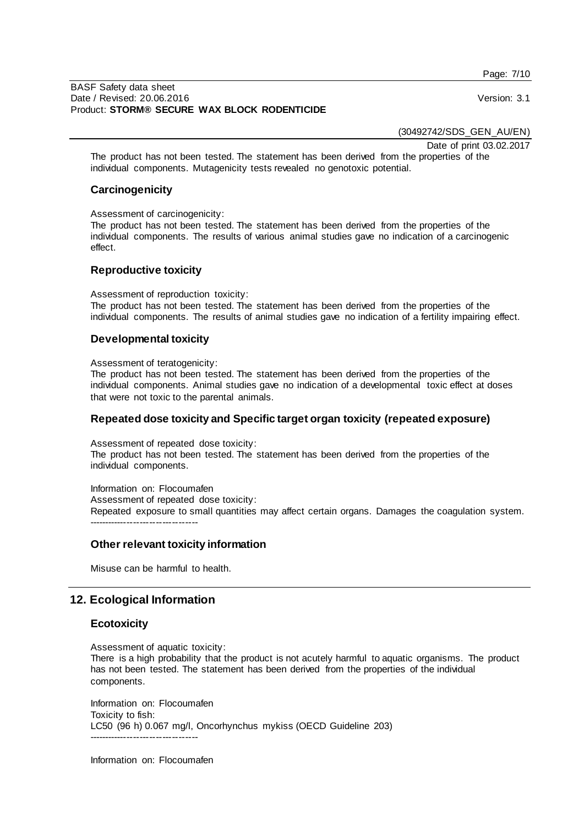Page: 7/10

(30492742/SDS\_GEN\_AU/EN)

Date of print 03.02.2017

The product has not been tested. The statement has been derived from the properties of the individual components. Mutagenicity tests revealed no genotoxic potential.

## **Carcinogenicity**

Assessment of carcinogenicity:

The product has not been tested. The statement has been derived from the properties of the individual components. The results of various animal studies gave no indication of a carcinogenic effect.

## **Reproductive toxicity**

Assessment of reproduction toxicity:

The product has not been tested. The statement has been derived from the properties of the individual components. The results of animal studies gave no indication of a fertility impairing effect.

## **Developmental toxicity**

Assessment of teratogenicity:

The product has not been tested. The statement has been derived from the properties of the individual components. Animal studies gave no indication of a developmental toxic effect at doses that were not toxic to the parental animals.

## **Repeated dose toxicity and Specific target organ toxicity (repeated exposure)**

Assessment of repeated dose toxicity:

The product has not been tested. The statement has been derived from the properties of the individual components.

Information on: Flocoumafen Assessment of repeated dose toxicity: Repeated exposure to small quantities may affect certain organs. Damages the coagulation system. -----------------------------

## **Other relevant toxicity information**

Misuse can be harmful to health.

# **12. Ecological Information**

## **Ecotoxicity**

Assessment of aquatic toxicity:

There is a high probability that the product is not acutely harmful to aquatic organisms. The product has not been tested. The statement has been derived from the properties of the individual components.

Information on: Flocoumafen Toxicity to fish: LC50 (96 h) 0.067 mg/l, Oncorhynchus mykiss (OECD Guideline 203) -----------------------------

Information on: Flocoumafen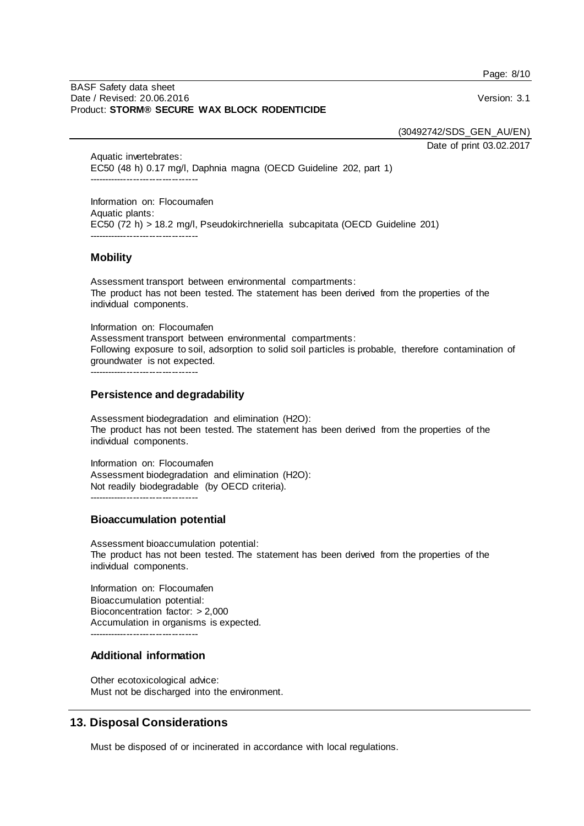Page: 8/10

#### BASF Safety data sheet Date / Revised: 20.06.2016 Version: 3.1 Product: **STORM® SECURE WAX BLOCK RODENTICIDE**

(30492742/SDS\_GEN\_AU/EN)

Date of print 03.02.2017

Aquatic invertebrates: EC50 (48 h) 0.17 mg/l, Daphnia magna (OECD Guideline 202, part 1) ----------------------------------

Information on: Flocoumafen Aquatic plants: EC50 (72 h) > 18.2 mg/l, Pseudokirchneriella subcapitata (OECD Guideline 201) -----------------------------

## **Mobility**

Assessment transport between environmental compartments: The product has not been tested. The statement has been derived from the properties of the individual components.

Information on: Flocoumafen Assessment transport between environmental compartments: Following exposure to soil, adsorption to solid soil particles is probable, therefore contamination of groundwater is not expected.

----------------------------------

## **Persistence and degradability**

Assessment biodegradation and elimination (H2O): The product has not been tested. The statement has been derived from the properties of the individual components.

Information on: Flocoumafen Assessment biodegradation and elimination (H2O): Not readily biodegradable (by OECD criteria).

## **Bioaccumulation potential**

Assessment bioaccumulation potential: The product has not been tested. The statement has been derived from the properties of the individual components.

Information on: Flocoumafen Bioaccumulation potential: Bioconcentration factor: > 2,000 Accumulation in organisms is expected. -----------------------------

# **Additional information**

Other ecotoxicological advice: Must not be discharged into the environment.

# **13. Disposal Considerations**

Must be disposed of or incinerated in accordance with local regulations.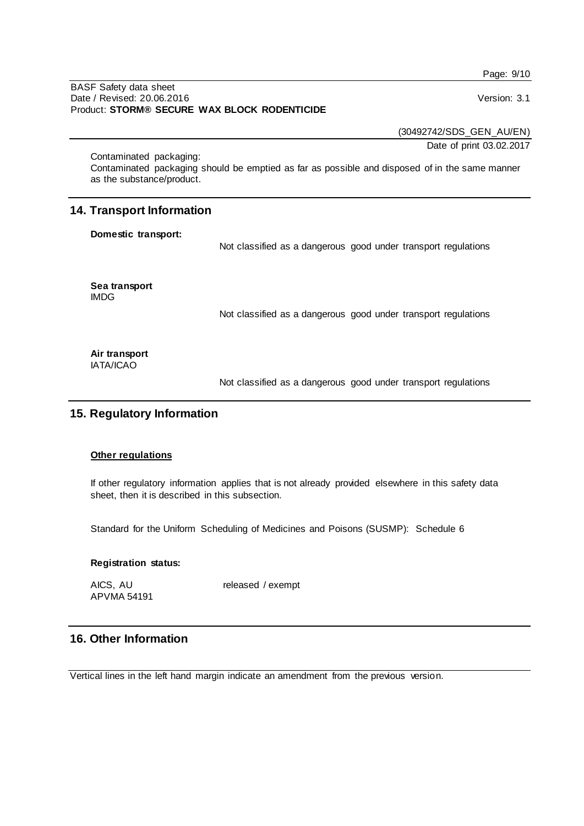Page: 9/10

#### BASF Safety data sheet Date / Revised: 20.06.2016 Version: 3.1 Product: **STORM® SECURE WAX BLOCK RODENTICIDE**

(30492742/SDS\_GEN\_AU/EN)

Date of print 03.02.2017

Contaminated packaging: Contaminated packaging should be emptied as far as possible and disposed of in the same manner as the substance/product.

# **14. Transport Information**

#### **Domestic transport:**

Not classified as a dangerous good under transport regulations

**Sea transport** IMDG

Not classified as a dangerous good under transport regulations

#### **Air transport** IATA/ICAO

Not classified as a dangerous good under transport regulations

# **15. Regulatory Information**

## **Other regulations**

If other regulatory information applies that is not already provided elsewhere in this safety data sheet, then it is described in this subsection.

Standard for the Uniform Scheduling of Medicines and Poisons (SUSMP): Schedule 6

#### **Registration status:**

APVMA 54191

AICS, AU released / exempt

# **16. Other Information**

Vertical lines in the left hand margin indicate an amendment from the previous version.